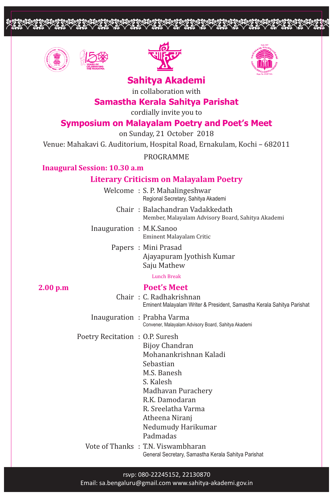





<u>opopoppoppoppoppoppoppoppoppo</u>



# **Sahitya Akademi**

in collaboration with

## **Samastha Kerala Sahitya Parishat**

cordially invite you to

## **Symposium on Malayalam Poetry and Poet's Meet**

on Sunday, 21 October 2018

Venue: Mahakavi G. Auditorium, Hospital Road, Ernakulam, Kochi – 682011

PROGRAMME

## **Inaugural Session: 10.30 a.m**

## **Literary Criticism on Malayalam Poetry**

Welcome : S. P. Mahalingeshwar Regional Secretary, Sahitya Akademi

> Chair : Balachandran Vadakkedath Member, Malayalam Advisory Board, Sahitya Akademi

- Inauguration : M.K.Sanoo Eminent Malayalam Critic
	- Papers : Mini Prasad Ajayapuram Jyothish Kumar Saju Mathew

Lunch Break

#### **2.00 p.m Poet's Meet**

Chair : C. Radhakrishnan Eminent Malayalam Writer & President, Samastha Kerala Sahitya Parishat

Inauguration : Prabha Varma Convener, Malayalam Advisory Board, Sahitya Akademi

- Poetry Recitation : O.P. Suresh
	- Bijoy Chandran Mohanankrishnan Kaladi Sebastian M.S. Banesh S. Kalesh Madhavan Purachery R.K. Damodaran R. Sreelatha Varma Atheena Niranj Nedumudy Harikumar Padmadas Vote of Thanks : T.N. Viswambharan

General Secretary, Samastha Kerala Sahitya Parishat

#### rsvp: 080-22245152, 22130870

Email: sa.bengaluru@gmail.com www.sahitya-akademi.gov.in